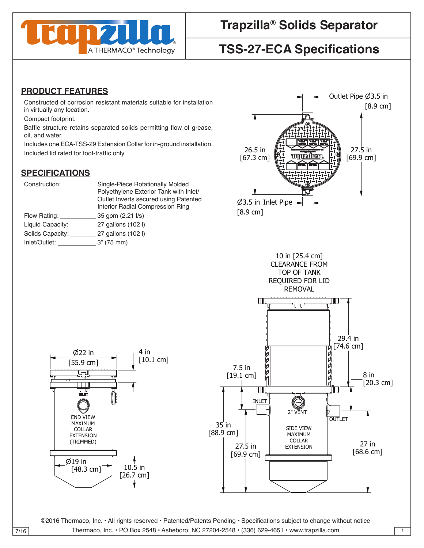

# **Trapzilla® Solids Separator** 4

# **TSS-27-ECA Specifications**

### **PRODUCT FEATURES**

Constructed of corrosion resistant materials suitable for installation in virtually any location.

Compact footprint.

Baffle structure retains separated solids permitting flow of grease, oil, and water.

Includes one ECA-TSS-29 Extension Collar for in-ground installation. Included lid rated for foot-traffic only

# **SPECIFICATIONS** 4

3.5 in

| Construction:    | Single-Piece Rotationally Molded       |
|------------------|----------------------------------------|
|                  | Polyethylene Exterior Tank with Inlet/ |
|                  | Outlet Inverts secured using Patented  |
|                  | Interior Radial Compression Ring       |
| Flow Rating:     | 35 gpm (2.21 l/s)                      |
| Liquid Capacity: | 27 gallons (102 l)                     |
| Solids Capacity: | 27 gallons (102 l)                     |
| Inlet/Outlet:    | 3" (75 mm)                             |
|                  |                                        |





©2016 Thermaco, Inc. • All rights reserved • Patented/Patents Pending • Specifications subject to change without notice 7/16 Thermaco, Inc. • PO Box 2548 • Asheboro, NC 27204-2548 • (336) 629-4651 • www.trapzilla.com

 $\| \cdot \|$ 

D D